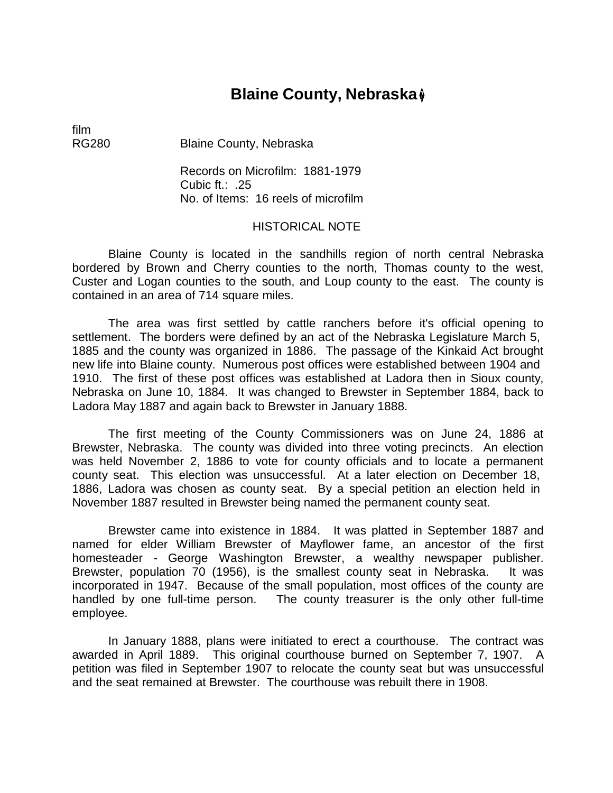# **Blaine County, Nebraska** �

film

RG280 Blaine County, Nebraska

Records on Microfilm: 1881-1979 Cubic ft.: .25 No. of Items: 16 reels of microfilm

## HISTORICAL NOTE

Blaine County is located in the sandhills region of north central Nebraska bordered by Brown and Cherry counties to the north, Thomas county to the west, Custer and Logan counties to the south, and Loup county to the east. The county is contained in an area of 714 square miles.

The area was first settled by cattle ranchers before it's official opening to settlement. The borders were defined by an act of the Nebraska Legislature March 5, 1885 and the county was organized in 1886. The passage of the Kinkaid Act brought new life into Blaine county. Numerous post offices were established between 1904 and 1910. The first of these post offices was established at Ladora then in Sioux county, Nebraska on June 10, 1884. It was changed to Brewster in September 1884, back to Ladora May 1887 and again back to Brewster in January 1888.

The first meeting of the County Commissioners was on June 24, 1886 at Brewster, Nebraska. The county was divided into three voting precincts. An election was held November 2, 1886 to vote for county officials and to locate a permanent county seat. This election was unsuccessful. At a later election on December 18, 1886, Ladora was chosen as county seat. By a special petition an election held in November 1887 resulted in Brewster being named the permanent county seat.

Brewster came into existence in 1884. It was platted in September 1887 and named for elder William Brewster of Mayflower fame, an ancestor of the first homesteader - George Washington Brewster, a wealthy newspaper publisher. Brewster, population 70 (1956), is the smallest county seat in Nebraska. It was incorporated in 1947. Because of the small population, most offices of the county are handled by one full-time person. The county treasurer is the only other full-time employee.

In January 1888, plans were initiated to erect a courthouse. The contract was awarded in April 1889. This original courthouse burned on September 7, 1907. A petition was filed in September 1907 to relocate the county seat but was unsuccessful and the seat remained at Brewster. The courthouse was rebuilt there in 1908.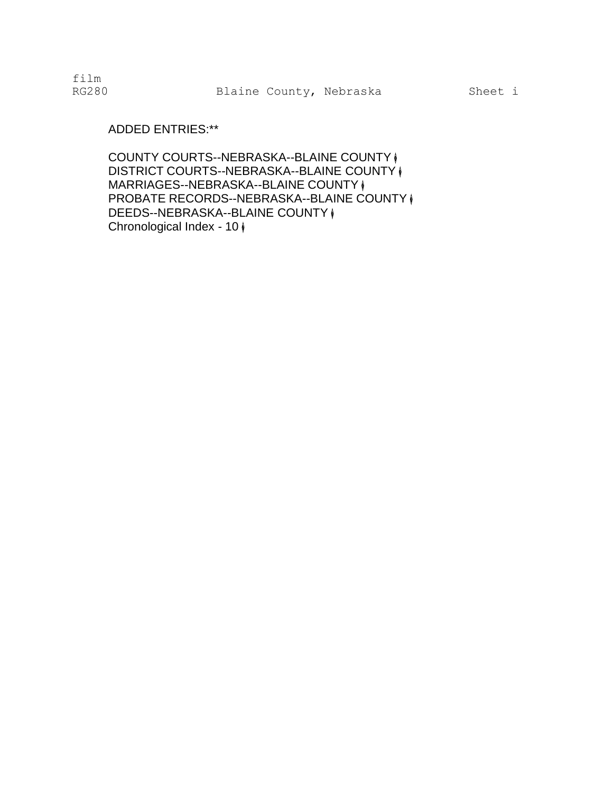film

# ADDED ENTRIES:\*\*

COUNTY COURTS--NEBRASKA--BLAINE COUNTY � DISTRICT COURTS--NEBRASKA--BLAINE COUNTY  $\mathcal{V}$ MARRIAGES--NEBRASKA--BLAINE COUNTY ( PROBATE RECORDS--NEBRASKA--BLAINE COUNTY  $\mathcal Y$ DEEDS--NEBRASKA--BLAINE COUNTY  $\phi$ Chronological Index - 10 �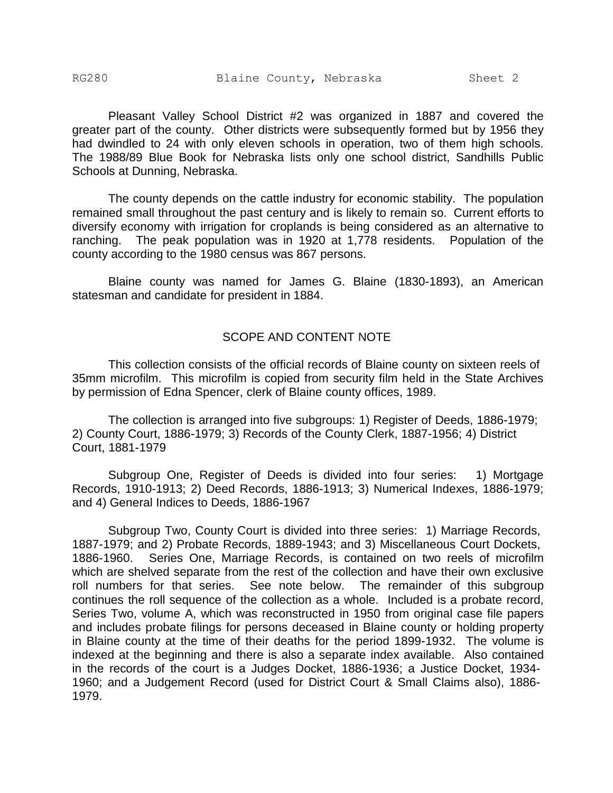Pleasant Valley School District #2 was organized in 1887 and covered the greater part of the county. Other districts were subsequently formed but by 1956 they had dwindled to 24 with only eleven schools in operation, two of them high schools. The 1988/89 Blue Book for Nebraska lists only one school district, Sandhills Public Schools at Dunning, Nebraska.

The county depends on the cattle industry for economic stability. The population remained small throughout the past century and is likely to remain so. Current efforts to diversify economy with irrigation for croplands is being considered as an alternative to ranching. The peak population was in 1920 at 1,778 residents. Population of the county according to the 1980 census was 867 persons.

Blaine county was named for James G. Blaine (1830-1893), an American statesman and candidate for president in 1884.

### SCOPE AND CONTENT NOTE

This collection consists of the official records of Blaine county on sixteen reels of 35mm microfilm. This microfilm is copied from security film held in the State Archives by permission of Edna Spencer, clerk of Blaine county offices, 1989.

The collection is arranged into five subgroups: 1) Register of Deeds, 1886-1979; 2) County Court, 1886-1979; 3) Records of the County Clerk, 1887-1956; 4) District Court, 1881-1979

Subgroup One, Register of Deeds is divided into four series: 1) Mortgage Records, 1910-1913; 2) Deed Records, 1886-1913; 3) Numerical Indexes, 1886-1979; and 4) General Indices to Deeds, 1886-1967

Subgroup Two, County Court is divided into three series: 1) Marriage Records, 1887-1979; and 2) Probate Records, 1889-1943; and 3) Miscellaneous Court Dockets, 1886-1960. Series One, Marriage Records, is contained on two reels of microfilm which are shelved separate from the rest of the collection and have their own exclusive roll numbers for that series. See note below. The remainder of this subgroup continues the roll sequence of the collection as a whole. Included is a probate record, Series Two, volume A, which was reconstructed in 1950 from original case file papers and includes probate filings for persons deceased in Blaine county or holding property in Blaine county at the time of their deaths for the period 1899-1932. The volume is indexed at the beginning and there is also a separate index available. Also contained in the records of the court is a Judges Docket, 1886-1936; a Justice Docket, 1934- 1960; and a Judgement Record (used for District Court & Small Claims also), 1886- 1979.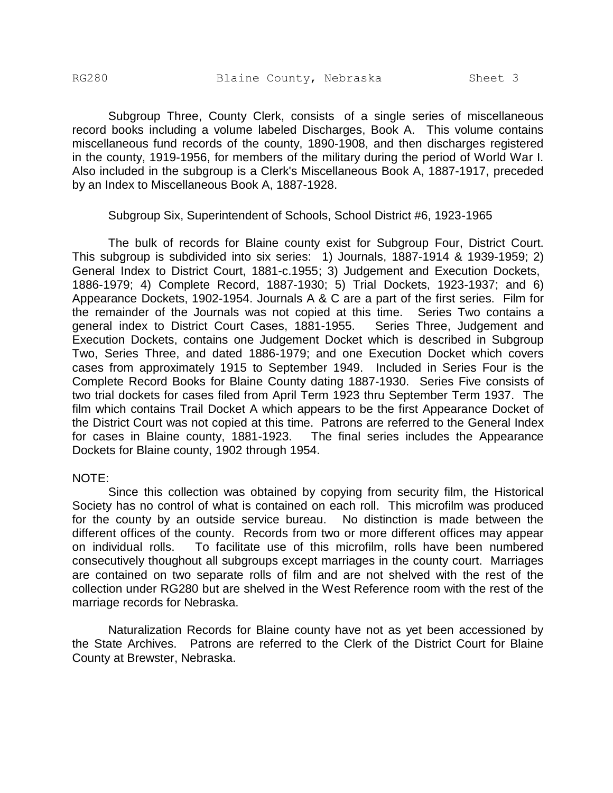Subgroup Three, County Clerk, consists of a single series of miscellaneous record books including a volume labeled Discharges, Book A. This volume contains miscellaneous fund records of the county, 1890-1908, and then discharges registered in the county, 1919-1956, for members of the military during the period of World War I. Also included in the subgroup is a Clerk's Miscellaneous Book A, 1887-1917, preceded by an Index to Miscellaneous Book A, 1887-1928.

Subgroup Six, Superintendent of Schools, School District #6, 1923-1965

The bulk of records for Blaine county exist for Subgroup Four, District Court. This subgroup is subdivided into six series: 1) Journals, 1887-1914 & 1939-1959; 2) General Index to District Court, 1881-c.1955; 3) Judgement and Execution Dockets, 1886-1979; 4) Complete Record, 1887-1930; 5) Trial Dockets, 1923-1937; and 6) Appearance Dockets, 1902-1954. Journals A & C are a part of the first series. Film for the remainder of the Journals was not copied at this time. Series Two contains a general index to District Court Cases, 1881-1955. Series Three, Judgement and Execution Dockets, contains one Judgement Docket which is described in Subgroup Two, Series Three, and dated 1886-1979; and one Execution Docket which covers cases from approximately 1915 to September 1949. Included in Series Four is the Complete Record Books for Blaine County dating 1887-1930. Series Five consists of two trial dockets for cases filed from April Term 1923 thru September Term 1937. The film which contains Trail Docket A which appears to be the first Appearance Docket of the District Court was not copied at this time. Patrons are referred to the General Index for cases in Blaine county, 1881-1923. The final series includes the Appearance Dockets for Blaine county, 1902 through 1954.

#### NOTE:

Since this collection was obtained by copying from security film, the Historical Society has no control of what is contained on each roll. This microfilm was produced for the county by an outside service bureau. No distinction is made between the different offices of the county. Records from two or more different offices may appear on individual rolls. To facilitate use of this microfilm, rolls have been numbered consecutively thoughout all subgroups except marriages in the county court. Marriages are contained on two separate rolls of film and are not shelved with the rest of the collection under RG280 but are shelved in the West Reference room with the rest of the marriage records for Nebraska.

Naturalization Records for Blaine county have not as yet been accessioned by the State Archives. Patrons are referred to the Clerk of the District Court for Blaine County at Brewster, Nebraska.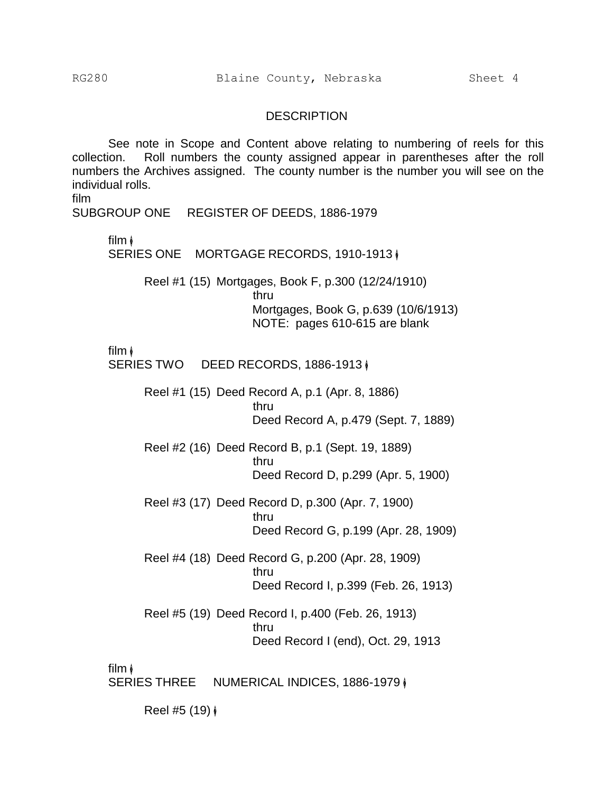#### **DESCRIPTION**

See note in Scope and Content above relating to numbering of reels for this collection. Roll numbers the county assigned appear in parentheses after the roll numbers the Archives assigned. The county number is the number you will see on the individual rolls.

film

SUBGROUP ONE REGISTER OF DEEDS, 1886-1979

film  $\phi$ 

SERIES ONE MORTGAGE RECORDS, 1910-1913 |

Reel #1 (15) Mortgages, Book F, p.300 (12/24/1910) thru Mortgages, Book G, p.639 (10/6/1913) NOTE: pages 610-615 are blank

film �

SERIES TWO DEED RECORDS, 1886-1913 |

Reel #1 (15) Deed Record A, p.1 (Apr. 8, 1886) thru Deed Record A, p.479 (Sept. 7, 1889)

Reel #2 (16) Deed Record B, p.1 (Sept. 19, 1889) thru Deed Record D, p.299 (Apr. 5, 1900)

Reel #3 (17) Deed Record D, p.300 (Apr. 7, 1900) thru Deed Record G, p.199 (Apr. 28, 1909)

Reel #4 (18) Deed Record G, p.200 (Apr. 28, 1909) thru Deed Record I, p.399 (Feb. 26, 1913)

Reel #5 (19) Deed Record I, p.400 (Feb. 26, 1913) thru Deed Record I (end), Oct. 29, 1913

film �

SERIES THREE NUMERICAL INDICES, 1886-1979  $\phi$ 

Reel #5 (19) �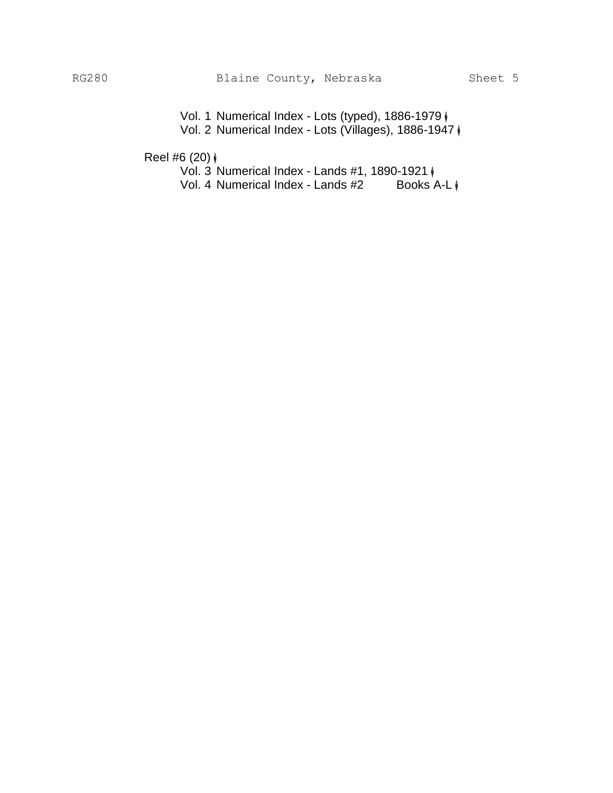Vol. 1 Numerical Index - Lots (typed), 1886-1979  $\phi$ Vol. 2 Numerical Index - Lots (Villages), 1886-1947 �

Reel #6  $(20)$   $\phi$ 

Vol. 3 Numerical Index - Lands #1, 1890-1921  $\phi$ <br>Vol. 4 Numerical Index - Lands #2 Books A-L  $\phi$ Vol. 4 Numerical Index - Lands #2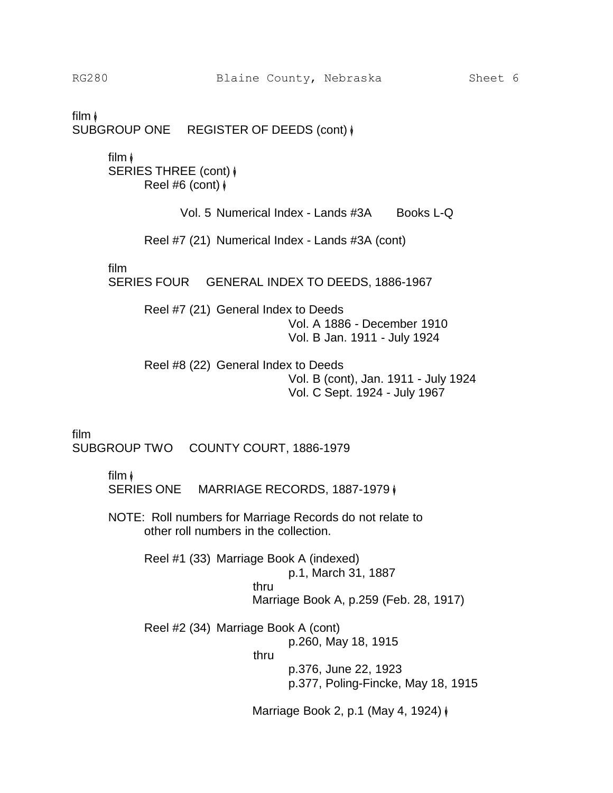film � SUBGROUP ONE REGISTER OF DEEDS (cont)  $\phi$ 

> film  $\phi$ SERIES THREE (cont)  $\phi$ Reel #6 (cont)  $\sqrt{\ }$

> > Vol. 5 Numerical Index - Lands #3A Books L-Q

Reel #7 (21) Numerical Index - Lands #3A (cont)

film

SERIES FOUR GENERAL INDEX TO DEEDS, 1886-1967

Reel #7 (21) General Index to Deeds Vol. A 1886 - December 1910 Vol. B Jan. 1911 - July 1924

Reel #8 (22) General Index to Deeds Vol. B (cont), Jan. 1911 - July 1924 Vol. C Sept. 1924 - July 1967

film

SUBGROUP TWO COUNTY COURT, 1886-1979

film �

SERIES ONE MARRIAGE RECORDS, 1887-1979  $\phi$ 

NOTE: Roll numbers for Marriage Records do not relate to other roll numbers in the collection.

> Reel #1 (33) Marriage Book A (indexed) p.1, March 31, 1887 thru Marriage Book A, p.259 (Feb. 28, 1917)

Reel #2 (34) Marriage Book A (cont) p.260, May 18, 1915 thru p.376, June 22, 1923

p.377, Poling-Fincke, May 18, 1915

Marriage Book 2, p.1 (May 4, 1924) ♦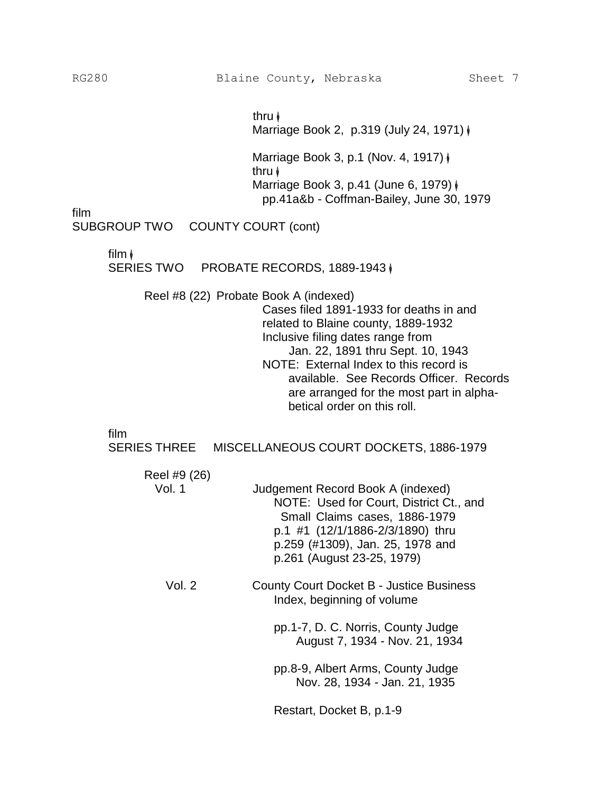thru � Marriage Book 2, p.319 (July 24, 1971) �

Marriage Book 3, p.1 (Nov. 4, 1917)  $\phi$ thru � Marriage Book 3, p.41 (June 6, 1979) � pp.41a&b - Coffman-Bailey, June 30, 1979

film

SUBGROUP TWO COUNTY COURT (cont)

film  $\sqrt{\ }$ 

SERIES TWO PROBATE RECORDS, 1889-1943  $\phi$ 

Reel #8 (22) Probate Book A (indexed)

Cases filed 1891-1933 for deaths in and related to Blaine county, 1889-1932 Inclusive filing dates range from Jan. 22, 1891 thru Sept. 10, 1943 NOTE: External Index to this record is available. See Records Officer. Records are arranged for the most part in alphabetical order on this roll.

film

SERIES THREE MISCELLANEOUS COURT DOCKETS, 1886-1979

| Reel #9 (26) |                                                                                                                                                                                                                     |
|--------------|---------------------------------------------------------------------------------------------------------------------------------------------------------------------------------------------------------------------|
| Vol. 1       | Judgement Record Book A (indexed)<br>NOTE: Used for Court, District Ct., and<br>Small Claims cases, 1886-1979<br>p.1 #1 (12/1/1886-2/3/1890) thru<br>p.259 (#1309), Jan. 25, 1978 and<br>p.261 (August 23-25, 1979) |
| Vol. 2       | <b>County Court Docket B - Justice Business</b><br>Index, beginning of volume                                                                                                                                       |
|              | pp.1-7, D. C. Norris, County Judge<br>August 7, 1934 - Nov. 21, 1934                                                                                                                                                |
|              | pp.8-9, Albert Arms, County Judge<br>Nov. 28, 1934 - Jan. 21, 1935                                                                                                                                                  |
|              | Restart, Docket B, p.1-9                                                                                                                                                                                            |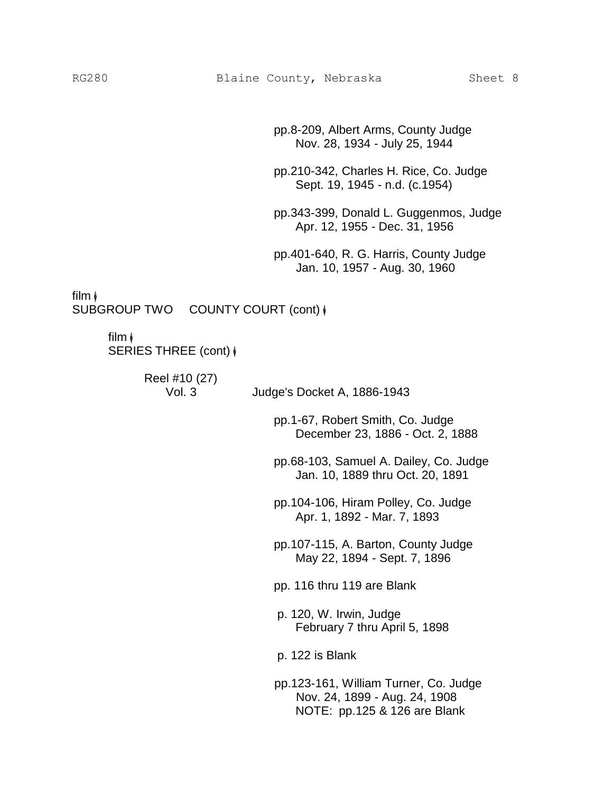pp.8-209, Albert Arms, County Judge Nov. 28, 1934 - July 25, 1944

pp.210-342, Charles H. Rice, Co. Judge Sept. 19, 1945 - n.d. (c.1954)

pp.343-399, Donald L. Guggenmos, Judge Apr. 12, 1955 - Dec. 31, 1956

pp.401-640, R. G. Harris, County Judge Jan. 10, 1957 - Aug. 30, 1960

film �

SUBGROUP TWO COUNTY COURT (cont)  $\phi$ 

# film �

SERIES THREE (cont) �

Reel #10 (27)

Vol. 3 Judge's Docket A, 1886-1943 pp.1-67, Robert Smith, Co. Judge

> pp.68-103, Samuel A. Dailey, Co. Judge Jan. 10, 1889 thru Oct. 20, 1891

December 23, 1886 - Oct. 2, 1888

pp.104-106, Hiram Polley, Co. Judge Apr. 1, 1892 - Mar. 7, 1893

pp.107-115, A. Barton, County Judge May 22, 1894 - Sept. 7, 1896

pp. 116 thru 119 are Blank

p. 120, W. Irwin, Judge February 7 thru April 5, 1898

p. 122 is Blank

pp.123-161, William Turner, Co. Judge Nov. 24, 1899 - Aug. 24, 1908 NOTE: pp.125 & 126 are Blank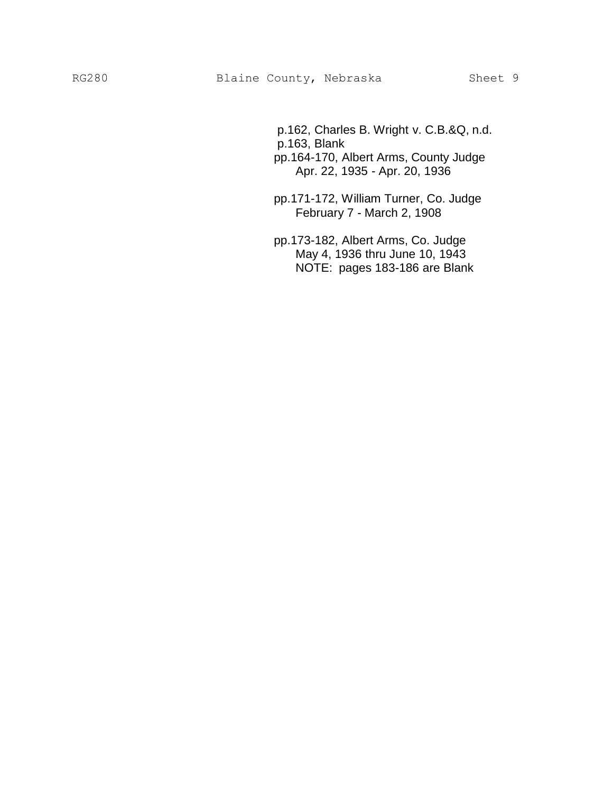- p.162, Charles B. Wright v. C.B.&Q, n.d. p.163, Blank
- pp.164-170, Albert Arms, County Judge Apr. 22, 1935 - Apr. 20, 1936
- pp.171-172, William Turner, Co. Judge February 7 - March 2, 1908
- pp.173-182, Albert Arms, Co. Judge May 4, 1936 thru June 10, 1943 NOTE: pages 183-186 are Blank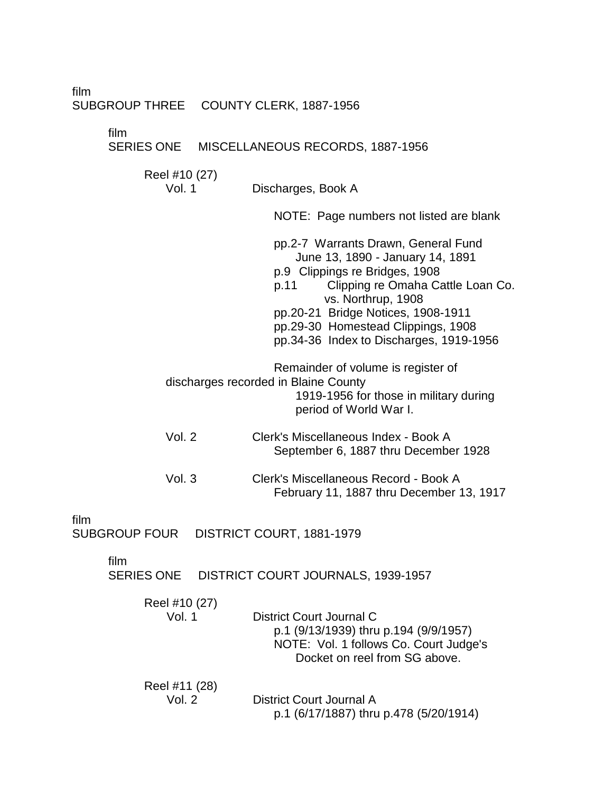film

#### SUBGROUP THREE COUNTY CLERK, 1887-1956

film

# SERIES ONE MISCELLANEOUS RECORDS, 1887-1956

Reel #10 (27)

Vol. 1 Discharges, Book A

NOTE: Page numbers not listed are blank

pp.2-7 Warrants Drawn, General Fund June 13, 1890 - January 14, 1891 p.9 Clippings re Bridges, 1908 p.11 Clipping re Omaha Cattle Loan Co. vs. Northrup, 1908 pp.20-21 Bridge Notices, 1908-1911 pp.29-30 Homestead Clippings, 1908 pp.34-36 Index to Discharges, 1919-1956 Remainder of volume is register of discharges recorded in Blaine County 1919-1956 for those in military during period of World War I.

Vol. 2 Clerk's Miscellaneous Index - Book A September 6, 1887 thru December 1928

| Vol.3 | Clerk's Miscellaneous Record - Book A    |
|-------|------------------------------------------|
|       | February 11, 1887 thru December 13, 1917 |

film

SUBGROUP FOUR DISTRICT COURT, 1881-1979

film

SERIES ONE DISTRICT COURT JOURNALS, 1939-1957

| Reel #10 (27)<br>Vol. 1 | District Court Journal C<br>p.1 (9/13/1939) thru p.194 (9/9/1957)<br>NOTE: Vol. 1 follows Co. Court Judge's<br>Docket on reel from SG above. |
|-------------------------|----------------------------------------------------------------------------------------------------------------------------------------------|
| Reel #11 (28)           | District Court Journal A                                                                                                                     |
| Vol. $2$                | p.1 (6/17/1887) thru p.478 (5/20/1914)                                                                                                       |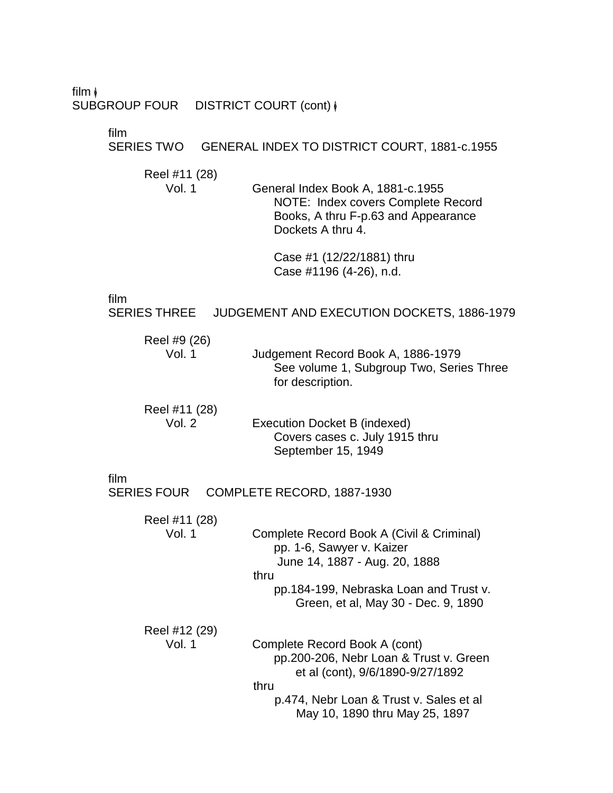film  $\phi$ SUBGROUP FOUR DISTRICT COURT (cont)  $\phi$ 

film

SERIES TWO GENERAL INDEX TO DISTRICT COURT, 1881-c.1955

Reel #11 (28)

Vol. 1 General Index Book A, 1881-c.1955 NOTE: Index covers Complete Record Books, A thru F-p.63 and Appearance Dockets A thru 4.

> Case #1 (12/22/1881) thru Case #1196 (4-26), n.d.

film

SERIES THREE JUDGEMENT AND EXECUTION DOCKETS, 1886-1979

| Reel #9 (26)<br>Vol. 1    | Judgement Record Book A, 1886-1979<br>See volume 1, Subgroup Two, Series Three<br>for description. |
|---------------------------|----------------------------------------------------------------------------------------------------|
| Reel #11 (28)<br>$\cdots$ | $\mathbf{r}$ , and $\mathbf{r}$ , and $\mathbf{r}$ , and $\mathbf{r}$                              |

| Vol. $2$ | Execution Docket B (indexed)   |
|----------|--------------------------------|
|          | Covers cases c. July 1915 thru |
|          | September 15, 1949             |

film

SERIES FOUR COMPLETE RECORD, 1887-1930 Reel #11 (28) Vol. 1 Complete Record Book A (Civil & Criminal) pp. 1-6, Sawyer v. Kaizer June 14, 1887 - Aug. 20, 1888 thru pp.184-199, Nebraska Loan and Trust v. Green, et al, May 30 - Dec. 9, 1890 Reel #12 (29) Vol. 1 Complete Record Book A (cont) pp.200-206, Nebr Loan & Trust v. Green et al (cont), 9/6/1890-9/27/1892 thru p.474, Nebr Loan & Trust v. Sales et al May 10, 1890 thru May 25, 1897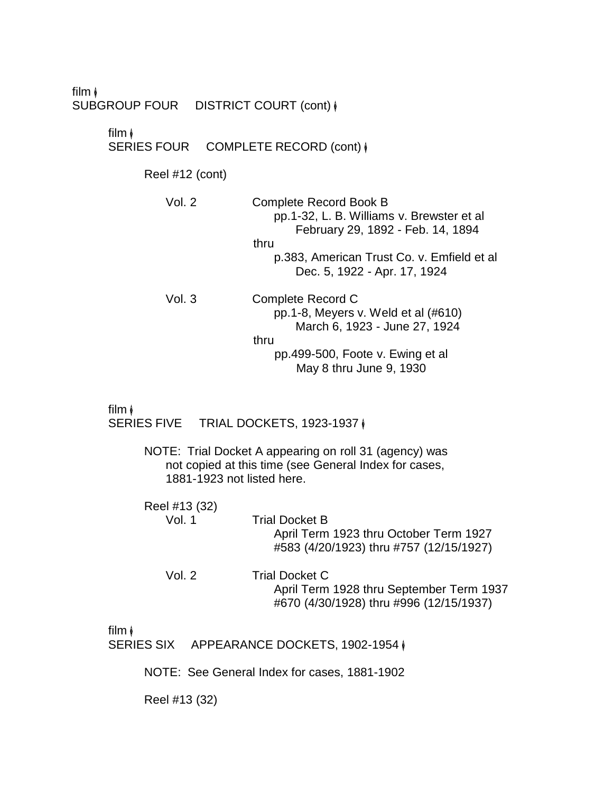film � SUBGROUP FOUR DISTRICT COURT (cont)  $\phi$ 

film �

SERIES FOUR COMPLETE RECORD (cont)  $\phi$ 

Reel #12 (cont)

| Vol. 2 | <b>Complete Record Book B</b><br>pp.1-32, L. B. Williams v. Brewster et al<br>February 29, 1892 - Feb. 14, 1894<br>thru<br>p.383, American Trust Co. v. Emfield et al |
|--------|-----------------------------------------------------------------------------------------------------------------------------------------------------------------------|
|        | Dec. 5, 1922 - Apr. 17, 1924                                                                                                                                          |
| Vol. 3 | Complete Record C<br>pp. 1-8, Meyers v. Weld et al $(\#610)$<br>March 6, 1923 - June 27, 1924<br>thru                                                                 |

pp.499-500, Foote v. Ewing et al May 8 thru June 9, 1930

film �

SERIES FIVE TRIAL DOCKETS, 1923-1937 |

NOTE: Trial Docket A appearing on roll 31 (agency) was not copied at this time (see General Index for cases, 1881-1923 not listed here.

| Reel #13 (32) |                                                                                                              |
|---------------|--------------------------------------------------------------------------------------------------------------|
| Vol. 1        | <b>Trial Docket B</b><br>April Term 1923 thru October Term 1927<br>#583 (4/20/1923) thru #757 (12/15/1927)   |
| Vol. $2$      | <b>Trial Docket C</b><br>April Term 1928 thru September Term 1937<br>#670 (4/30/1928) thru #996 (12/15/1937) |

film �

SERIES SIX APPEARANCE DOCKETS, 1902-1954 |

NOTE: See General Index for cases, 1881-1902

Reel #13 (32)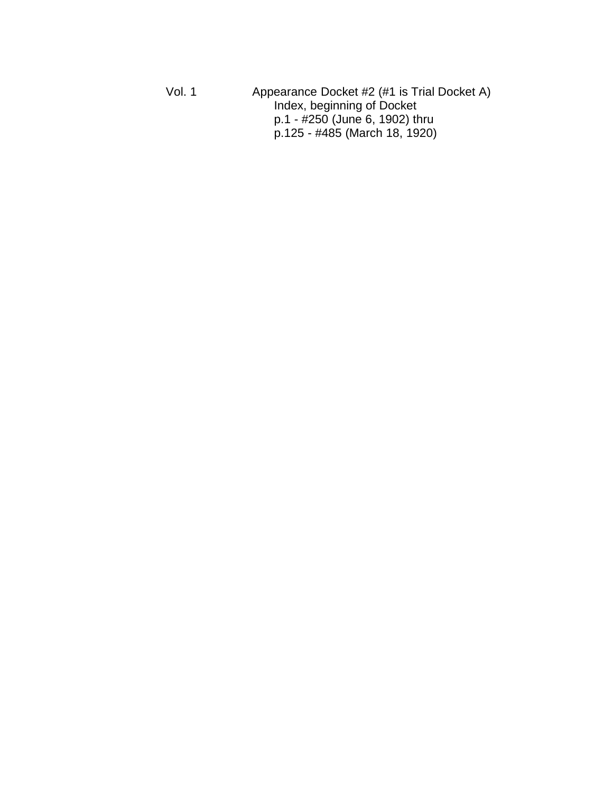Vol. 1 Appearance Docket #2 (#1 is Trial Docket A) Index, be ginning of Docket p.1 - #250 (June 6, 1902) thru p.125 - #485 (March 18, 1920)